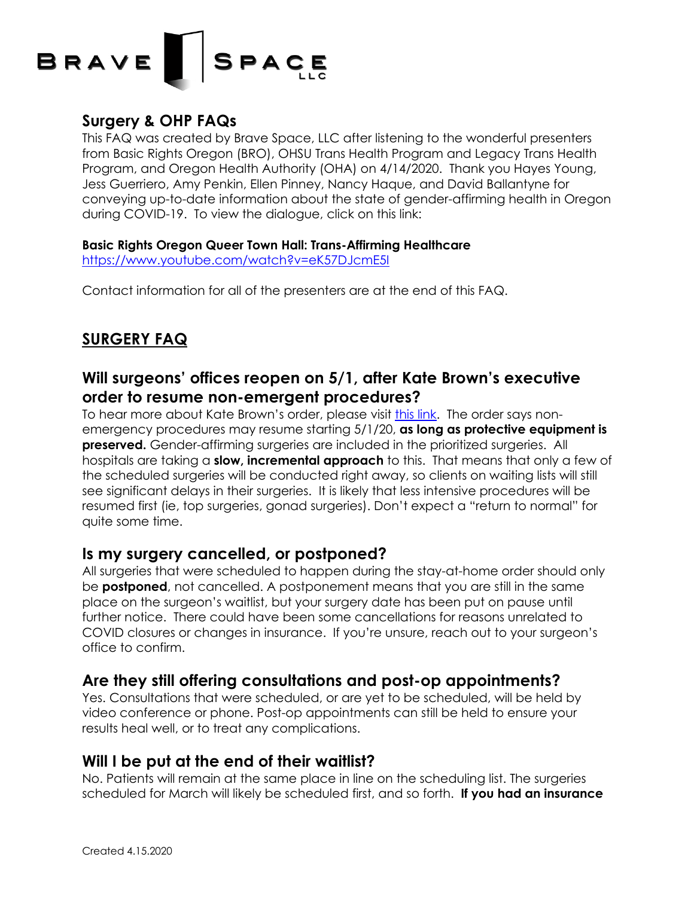# BRAVE  $\overline{\phantom{a}}$  SPACE

## **Surgery & OHP FAQs**

This FAQ was created by Brave Space, LLC after listening to the wonderful presenters from Basic Rights Oregon (BRO), OHSU Trans Health Program and Legacy Trans Health Program, and Oregon Health Authority (OHA) on 4/14/2020. Thank you Hayes Young, Jess Guerriero, Amy Penkin, Ellen Pinney, Nancy Haque, and David Ballantyne for conveying up-to-date information about the state of gender-affirming health in Oregon during COVID-19. To view the dialogue, click on this link:

#### **Basic Rights Oregon Queer Town Hall: Trans-Affirming Healthcare**

https://www.youtube.com/watch?v=eK57DJcmE5I

Contact information for all of the presenters are at the end of this FAQ.

## **SURGERY FAQ**

### **Will surgeons' offices reopen on 5/1, after Kate Brown's executive order to resume non-emergent procedures?**

To hear more about Kate Brown's order, please visit this link. The order says nonemergency procedures may resume starting 5/1/20, **as long as protective equipment is preserved.** Gender-affirming surgeries are included in the prioritized surgeries. All hospitals are taking a **slow, incremental approach** to this. That means that only a few of the scheduled surgeries will be conducted right away, so clients on waiting lists will still see significant delays in their surgeries. It is likely that less intensive procedures will be resumed first (ie, top surgeries, gonad surgeries). Don't expect a "return to normal" for quite some time.

#### **Is my surgery cancelled, or postponed?**

All surgeries that were scheduled to happen during the stay-at-home order should only be **postponed**, not cancelled. A postponement means that you are still in the same place on the surgeon's waitlist, but your surgery date has been put on pause until further notice. There could have been some cancellations for reasons unrelated to COVID closures or changes in insurance. If you're unsure, reach out to your surgeon's office to confirm.

### **Are they still offering consultations and post-op appointments?**

Yes. Consultations that were scheduled, or are yet to be scheduled, will be held by video conference or phone. Post-op appointments can still be held to ensure your results heal well, or to treat any complications.

### **Will I be put at the end of their waitlist?**

No. Patients will remain at the same place in line on the scheduling list. The surgeries scheduled for March will likely be scheduled first, and so forth. **If you had an insurance**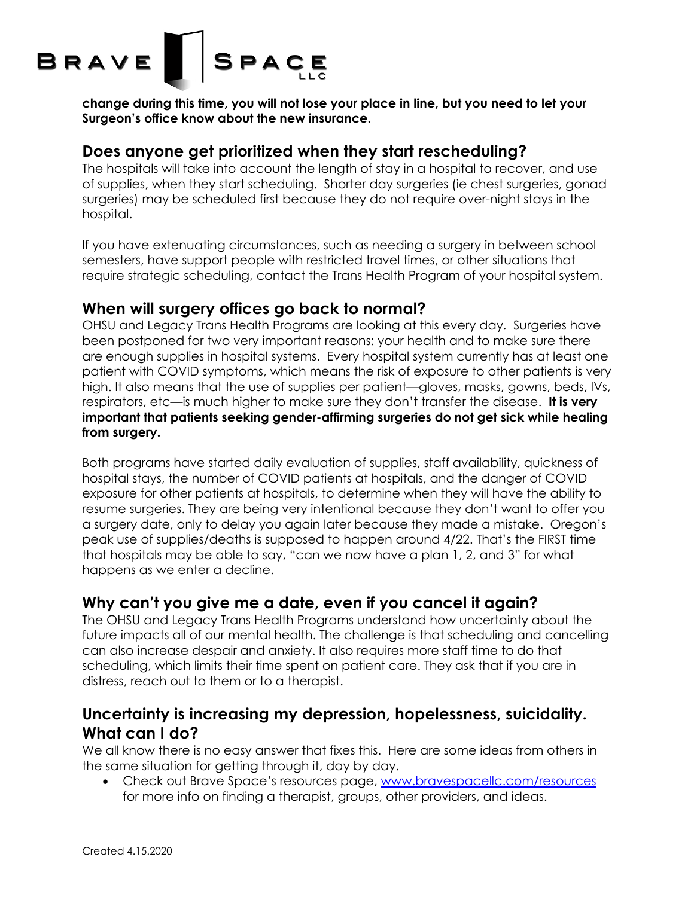

**change during this time, you will not lose your place in line, but you need to let your Surgeon's office know about the new insurance.**

#### **Does anyone get prioritized when they start rescheduling?**

The hospitals will take into account the length of stay in a hospital to recover, and use of supplies, when they start scheduling. Shorter day surgeries (ie chest surgeries, gonad surgeries) may be scheduled first because they do not require over-night stays in the hospital.

If you have extenuating circumstances, such as needing a surgery in between school semesters, have support people with restricted travel times, or other situations that require strategic scheduling, contact the Trans Health Program of your hospital system.

#### **When will surgery offices go back to normal?**

OHSU and Legacy Trans Health Programs are looking at this every day. Surgeries have been postponed for two very important reasons: your health and to make sure there are enough supplies in hospital systems. Every hospital system currently has at least one patient with COVID symptoms, which means the risk of exposure to other patients is very high. It also means that the use of supplies per patient—gloves, masks, gowns, beds, IVs, respirators, etc—is much higher to make sure they don't transfer the disease. **It is very important that patients seeking gender-affirming surgeries do not get sick while healing from surgery.**

Both programs have started daily evaluation of supplies, staff availability, quickness of hospital stays, the number of COVID patients at hospitals, and the danger of COVID exposure for other patients at hospitals, to determine when they will have the ability to resume surgeries. They are being very intentional because they don't want to offer you a surgery date, only to delay you again later because they made a mistake. Oregon's peak use of supplies/deaths is supposed to happen around 4/22. That's the FIRST time that hospitals may be able to say, "can we now have a plan 1, 2, and 3" for what happens as we enter a decline.

### **Why can't you give me a date, even if you cancel it again?**

The OHSU and Legacy Trans Health Programs understand how uncertainty about the future impacts all of our mental health. The challenge is that scheduling and cancelling can also increase despair and anxiety. It also requires more staff time to do that scheduling, which limits their time spent on patient care. They ask that if you are in distress, reach out to them or to a therapist.

### **Uncertainty is increasing my depression, hopelessness, suicidality. What can I do?**

We all know there is no easy answer that fixes this. Here are some ideas from others in the same situation for getting through it, day by day.

• Check out Brave Space's resources page, www.bravespacellc.com/resources for more info on finding a therapist, groups, other providers, and ideas.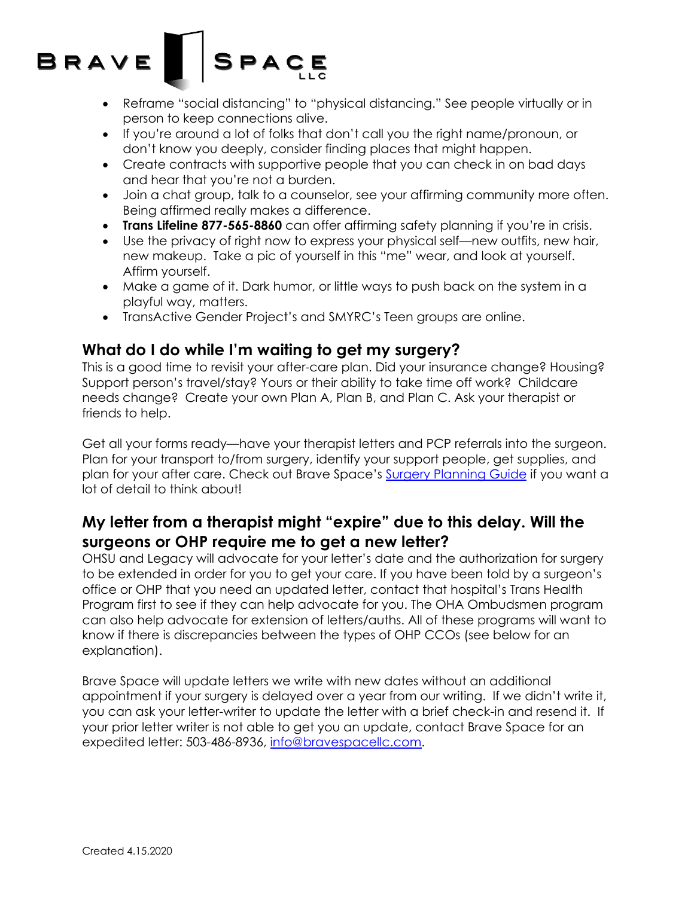# **SPACE** BRAVE

- Reframe "social distancing" to "physical distancing." See people virtually or in person to keep connections alive.
- If you're around a lot of folks that don't call you the right name/pronoun, or don't know you deeply, consider finding places that might happen.
- Create contracts with supportive people that you can check in on bad days and hear that you're not a burden.
- Join a chat group, talk to a counselor, see your affirming community more often. Being affirmed really makes a difference.
- **Trans Lifeline 877-565-8860** can offer affirming safety planning if you're in crisis.
- Use the privacy of right now to express your physical self—new outfits, new hair, new makeup. Take a pic of yourself in this "me" wear, and look at yourself. Affirm yourself.
- Make a game of it. Dark humor, or little ways to push back on the system in a playful way, matters.
- TransActive Gender Project's and SMYRC's Teen groups are online.

### **What do I do while I'm waiting to get my surgery?**

This is a good time to revisit your after-care plan. Did your insurance change? Housing? Support person's travel/stay? Yours or their ability to take time off work? Childcare needs change? Create your own Plan A, Plan B, and Plan C. Ask your therapist or friends to help.

Get all your forms ready—have your therapist letters and PCP referrals into the surgeon. Plan for your transport to/from surgery, identify your support people, get supplies, and plan for your after care. Check out Brave Space's Surgery Planning Guide if you want a lot of detail to think about!

## **My letter from a therapist might "expire" due to this delay. Will the surgeons or OHP require me to get a new letter?**

OHSU and Legacy will advocate for your letter's date and the authorization for surgery to be extended in order for you to get your care. If you have been told by a surgeon's office or OHP that you need an updated letter, contact that hospital's Trans Health Program first to see if they can help advocate for you. The OHA Ombudsmen program can also help advocate for extension of letters/auths. All of these programs will want to know if there is discrepancies between the types of OHP CCOs (see below for an explanation).

Brave Space will update letters we write with new dates without an additional appointment if your surgery is delayed over a year from our writing. If we didn't write it, you can ask your letter-writer to update the letter with a brief check-in and resend it. If your prior letter writer is not able to get you an update, contact Brave Space for an expedited letter: 503-486-8936, info@bravespacellc.com.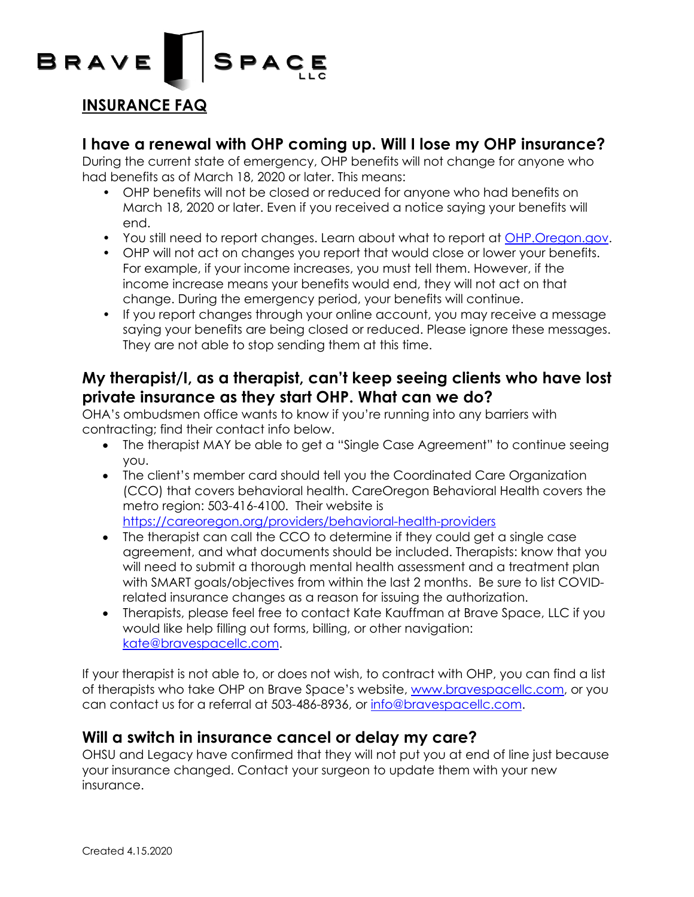

#### **INSURANCE FAQ**

#### **I have a renewal with OHP coming up. Will I lose my OHP insurance?**

During the current state of emergency, OHP benefits will not change for anyone who had benefits as of March 18, 2020 or later. This means:

- OHP benefits will not be closed or reduced for anyone who had benefits on March 18, 2020 or later. Even if you received a notice saying your benefits will end.
- You still need to report changes. Learn about what to report at OHP.Oregon.gov.
- OHP will not act on changes you report that would close or lower your benefits. For example, if your income increases, you must tell them. However, if the income increase means your benefits would end, they will not act on that change. During the emergency period, your benefits will continue.
- If you report changes through your online account, you may receive a message saying your benefits are being closed or reduced. Please ignore these messages. They are not able to stop sending them at this time.

#### **My therapist/I, as a therapist, can't keep seeing clients who have lost private insurance as they start OHP. What can we do?**

OHA's ombudsmen office wants to know if you're running into any barriers with contracting; find their contact info below.

- The therapist MAY be able to get a "Single Case Agreement" to continue seeing you.
- The client's member card should tell you the Coordinated Care Organization (CCO) that covers behavioral health. CareOregon Behavioral Health covers the metro region: 503-416-4100. Their website is https://careoregon.org/providers/behavioral-health-providers
- The therapist can call the CCO to determine if they could get a single case agreement, and what documents should be included. Therapists: know that you will need to submit a thorough mental health assessment and a treatment plan with SMART goals/objectives from within the last 2 months. Be sure to list COVIDrelated insurance changes as a reason for issuing the authorization.
- Therapists, please feel free to contact Kate Kauffman at Brave Space, LLC if you would like help filling out forms, billing, or other navigation: kate@bravespacellc.com.

If your therapist is not able to, or does not wish, to contract with OHP, you can find a list of therapists who take OHP on Brave Space's website, www.bravespacellc.com, or you can contact us for a referral at 503-486-8936, or info@bravespacellc.com.

#### **Will a switch in insurance cancel or delay my care?**

OHSU and Legacy have confirmed that they will not put you at end of line just because your insurance changed. Contact your surgeon to update them with your new insurance.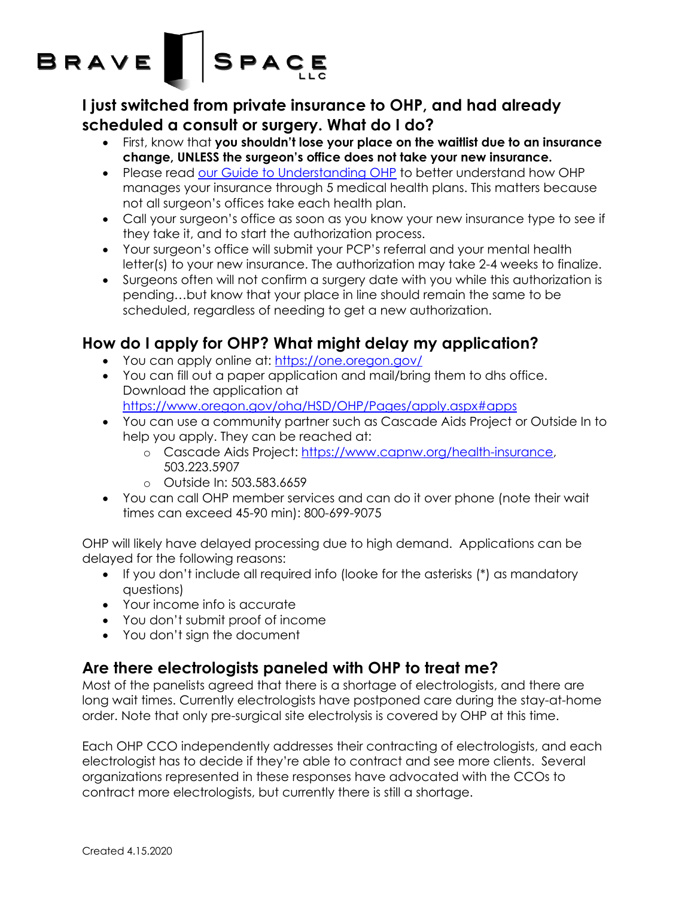## $\vert$  SPACE **BRAVE**

**I just switched from private insurance to OHP, and had already scheduled a consult or surgery. What do I do?**

- First, know that **you shouldn't lose your place on the waitlist due to an insurance change, UNLESS the surgeon's office does not take your new insurance.**
- Please read our Guide to Understanding OHP to better understand how OHP manages your insurance through 5 medical health plans. This matters because not all surgeon's offices take each health plan.
- Call your surgeon's office as soon as you know your new insurance type to see if they take it, and to start the authorization process.
- Your surgeon's office will submit your PCP's referral and your mental health letter(s) to your new insurance. The authorization may take 2-4 weeks to finalize.
- Surgeons often will not confirm a surgery date with you while this authorization is pending…but know that your place in line should remain the same to be scheduled, regardless of needing to get a new authorization.

## **How do I apply for OHP? What might delay my application?**

- You can apply online at: https://one.oregon.gov/
- You can fill out a paper application and mail/bring them to dhs office. Download the application at https://www.oregon.gov/oha/HSD/OHP/Pages/apply.aspx#apps
- You can use a community partner such as Cascade Aids Project or Outside In to help you apply. They can be reached at:
	- o Cascade Aids Project: https://www.capnw.org/health-insurance, 503.223.5907
	- o Outside In: 503.583.6659
- You can call OHP member services and can do it over phone (note their wait times can exceed 45-90 min): 800-699-9075

OHP will likely have delayed processing due to high demand. Applications can be delayed for the following reasons:

- If you don't include all required info (looke for the asterisks (\*) as mandatory questions)
- Your income info is accurate
- You don't submit proof of income
- You don't sign the document

## **Are there electrologists paneled with OHP to treat me?**

Most of the panelists agreed that there is a shortage of electrologists, and there are long wait times. Currently electrologists have postponed care during the stay-at-home order. Note that only pre-surgical site electrolysis is covered by OHP at this time.

Each OHP CCO independently addresses their contracting of electrologists, and each electrologist has to decide if they're able to contract and see more clients. Several organizations represented in these responses have advocated with the CCOs to contract more electrologists, but currently there is still a shortage.